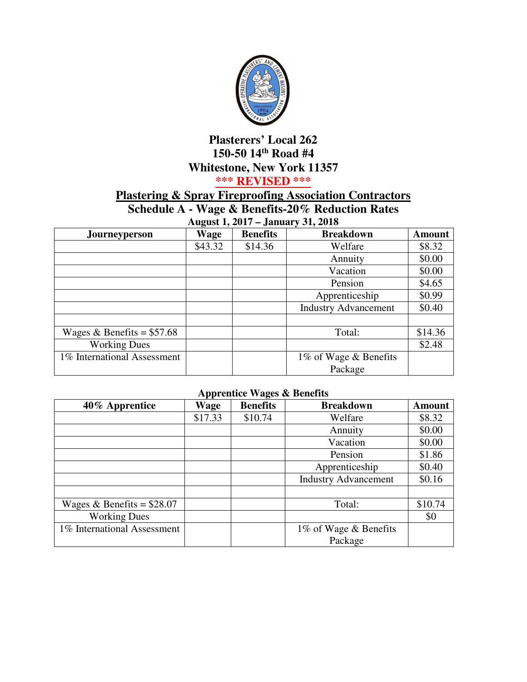

## **Plasterers' Local 262 150-50 14th Road #4 Whitestone, New York 11357**

## **\*\*\* REVISED \*\*\***

## **Plastering & Spray Fireproofing Association Contractors**

**Schedule A - Wage & Benefits-20% Reduction Rates** 

**August 1, 2017 – January 31, 2018** 

| Journeyperson               | Wage    | <b>Benefits</b> | <b>Breakdown</b>            | <b>Amount</b> |
|-----------------------------|---------|-----------------|-----------------------------|---------------|
|                             | \$43.32 | \$14.36         | Welfare                     | \$8.32        |
|                             |         |                 | Annuity                     | \$0.00        |
|                             |         |                 | Vacation                    | \$0.00        |
|                             |         |                 | Pension                     | \$4.65        |
|                             |         |                 | Apprenticeship              | \$0.99        |
|                             |         |                 | <b>Industry Advancement</b> | \$0.40        |
|                             |         |                 |                             |               |
| Wages & Benefits = $$57.68$ |         |                 | Total:                      | \$14.36       |
| <b>Working Dues</b>         |         |                 |                             | \$2.48        |
| 1% International Assessment |         |                 | 1% of Wage & Benefits       |               |
|                             |         |                 | Package                     |               |

## **Apprentice Wages & Benefits**

| 40% Apprentice              | Wage    | <b>Benefits</b> | <b>Breakdown</b>            | <b>Amount</b> |
|-----------------------------|---------|-----------------|-----------------------------|---------------|
|                             | \$17.33 | \$10.74         | Welfare                     | \$8.32        |
|                             |         |                 | Annuity                     | \$0.00        |
|                             |         |                 | Vacation                    | \$0.00        |
|                             |         |                 | Pension                     | \$1.86        |
|                             |         |                 | Apprenticeship              | \$0.40        |
|                             |         |                 | <b>Industry Advancement</b> | \$0.16        |
|                             |         |                 |                             |               |
| Wages & Benefits = $$28.07$ |         |                 | Total:                      | \$10.74       |
| <b>Working Dues</b>         |         |                 |                             | \$0           |
| 1% International Assessment |         |                 | 1% of Wage & Benefits       |               |
|                             |         |                 | Package                     |               |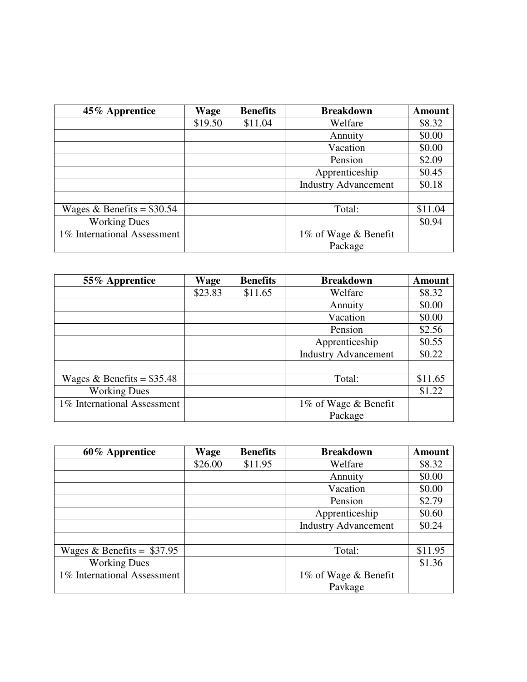| 45% Apprentice              | Wage    | <b>Benefits</b> | <b>Breakdown</b>            | <b>Amount</b> |
|-----------------------------|---------|-----------------|-----------------------------|---------------|
|                             | \$19.50 | \$11.04         | Welfare                     | \$8.32        |
|                             |         |                 | Annuity                     | \$0.00        |
|                             |         |                 | Vacation                    | \$0.00        |
|                             |         |                 | Pension                     | \$2.09        |
|                             |         |                 | Apprenticeship              | \$0.45        |
|                             |         |                 | <b>Industry Advancement</b> | \$0.18        |
|                             |         |                 |                             |               |
| Wages & Benefits = $$30.54$ |         |                 | Total:                      | \$11.04       |
| <b>Working Dues</b>         |         |                 |                             | \$0.94        |
| 1% International Assessment |         |                 | 1% of Wage & Benefit        |               |
|                             |         |                 | Package                     |               |

| 55% Apprentice              | Wage    | <b>Benefits</b> | <b>Breakdown</b>            | <b>Amount</b> |
|-----------------------------|---------|-----------------|-----------------------------|---------------|
|                             | \$23.83 | \$11.65         | Welfare                     | \$8.32        |
|                             |         |                 | Annuity                     | \$0.00        |
|                             |         |                 | Vacation                    | \$0.00        |
|                             |         |                 | Pension                     | \$2.56        |
|                             |         |                 | Apprenticeship              | \$0.55        |
|                             |         |                 | <b>Industry Advancement</b> | \$0.22        |
|                             |         |                 |                             |               |
| Wages & Benefits = $$35.48$ |         |                 | Total:                      | \$11.65       |
| <b>Working Dues</b>         |         |                 |                             | \$1.22        |
| 1% International Assessment |         |                 | 1% of Wage & Benefit        |               |
|                             |         |                 | Package                     |               |

| 60% Apprentice              | Wage    | <b>Benefits</b> | <b>Breakdown</b>            | <b>Amount</b> |
|-----------------------------|---------|-----------------|-----------------------------|---------------|
|                             | \$26.00 | \$11.95         | Welfare                     | \$8.32        |
|                             |         |                 | Annuity                     | \$0.00        |
|                             |         |                 | Vacation                    | \$0.00        |
|                             |         |                 | Pension                     | \$2.79        |
|                             |         |                 | Apprenticeship              | \$0.60        |
|                             |         |                 | <b>Industry Advancement</b> | \$0.24        |
|                             |         |                 |                             |               |
| Wages & Benefits = $$37.95$ |         |                 | Total:                      | \$11.95       |
| <b>Working Dues</b>         |         |                 |                             | \$1.36        |
| 1% International Assessment |         |                 | 1% of Wage & Benefit        |               |
|                             |         |                 | Pavkage                     |               |